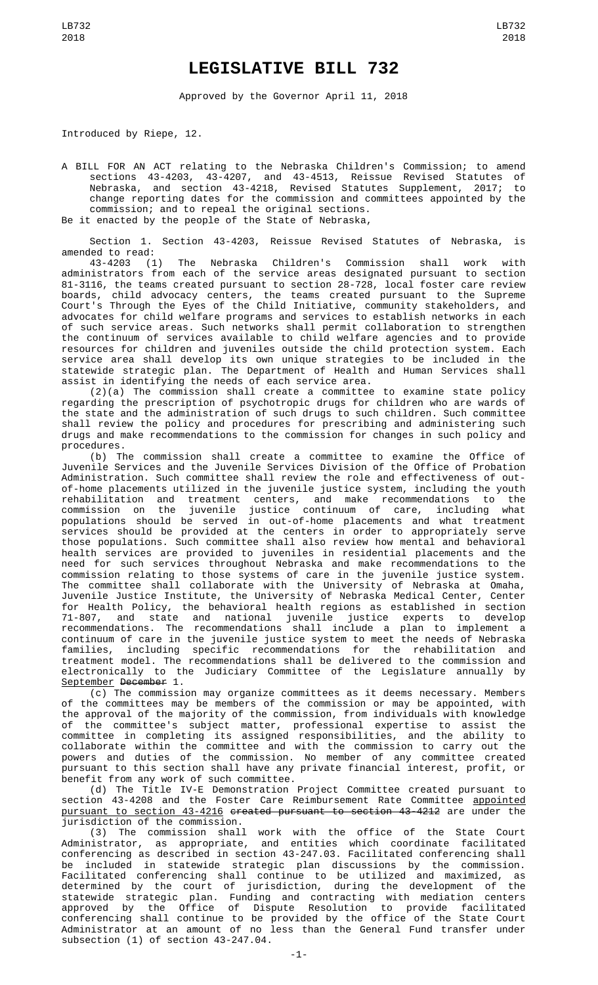## **LEGISLATIVE BILL 732**

Approved by the Governor April 11, 2018

Introduced by Riepe, 12.

A BILL FOR AN ACT relating to the Nebraska Children's Commission; to amend sections 43-4203, 43-4207, and 43-4513, Reissue Revised Statutes of Nebraska, and section 43-4218, Revised Statutes Supplement, 2017; to change reporting dates for the commission and committees appointed by the commission; and to repeal the original sections. Be it enacted by the people of the State of Nebraska,

Section 1. Section 43-4203, Reissue Revised Statutes of Nebraska, is amended to read:

43-4203 (1) The Nebraska Children's Commission shall work with administrators from each of the service areas designated pursuant to section 81-3116, the teams created pursuant to section 28-728, local foster care review boards, child advocacy centers, the teams created pursuant to the Supreme Court's Through the Eyes of the Child Initiative, community stakeholders, and advocates for child welfare programs and services to establish networks in each of such service areas. Such networks shall permit collaboration to strengthen the continuum of services available to child welfare agencies and to provide resources for children and juveniles outside the child protection system. Each service area shall develop its own unique strategies to be included in the statewide strategic plan. The Department of Health and Human Services shall assist in identifying the needs of each service area.

(2)(a) The commission shall create a committee to examine state policy regarding the prescription of psychotropic drugs for children who are wards of the state and the administration of such drugs to such children. Such committee shall review the policy and procedures for prescribing and administering such drugs and make recommendations to the commission for changes in such policy and procedures.

(b) The commission shall create a committee to examine the Office of Juvenile Services and the Juvenile Services Division of the Office of Probation Administration. Such committee shall review the role and effectiveness of outof-home placements utilized in the juvenile justice system, including the youth rehabilitation and treatment centers, and make recommendations to the commission on the juvenile justice continuum of care, including what populations should be served in out-of-home placements and what treatment services should be provided at the centers in order to appropriately serve those populations. Such committee shall also review how mental and behavioral health services are provided to juveniles in residential placements and the need for such services throughout Nebraska and make recommendations to the commission relating to those systems of care in the juvenile justice system. The committee shall collaborate with the University of Nebraska at Omaha, Juvenile Justice Institute, the University of Nebraska Medical Center, Center for Health Policy, the behavioral health regions as established in section 71-807, and state and national juvenile justice experts to develop recommendations. The recommendations shall include a plan to implement a continuum of care in the juvenile justice system to meet the needs of Nebraska families, including specific recommendations for the rehabilitation and treatment model. The recommendations shall be delivered to the commission and electronically to the Judiciary Committee of the Legislature annually by September December 1.

(c) The commission may organize committees as it deems necessary. Members of the committees may be members of the commission or may be appointed, with the approval of the majority of the commission, from individuals with knowledge of the committee's subject matter, professional expertise to assist the committee in completing its assigned responsibilities, and the ability to collaborate within the committee and with the commission to carry out the powers and duties of the commission. No member of any committee created pursuant to this section shall have any private financial interest, profit, or benefit from any work of such committee.

(d) The Title IV-E Demonstration Project Committee created pursuant to section 43-4208 and the Foster Care Reimbursement Rate Committee <u>appointed</u> pursuant to section 43-4216 created pursuant to section 43-4212 are under the jurisdiction of the commission.

(3) The commission shall work with the office of the State Court Administrator, as appropriate, and entities which coordinate facilitated conferencing as described in section 43-247.03. Facilitated conferencing shall be included in statewide strategic plan discussions by the commission. Facilitated conferencing shall continue to be utilized and maximized, as determined by the court of jurisdiction, during the development of the statewide strategic plan. Funding and contracting with mediation centers approved by the Office of Dispute Resolution to provide facilitated conferencing shall continue to be provided by the office of the State Court Administrator at an amount of no less than the General Fund transfer under subsection (1) of section 43-247.04.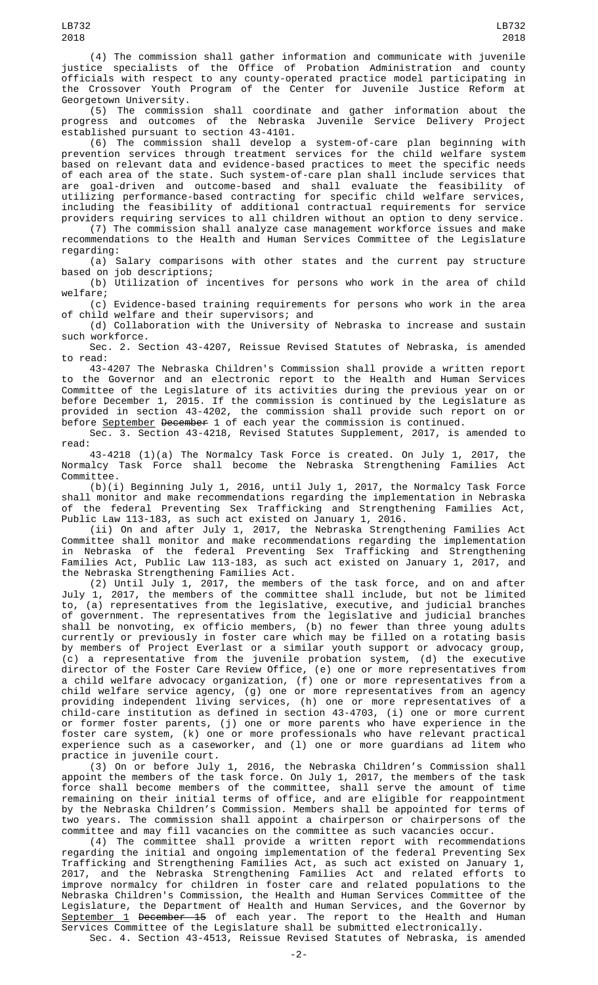(4) The commission shall gather information and communicate with juvenile justice specialists of the Office of Probation Administration and county officials with respect to any county-operated practice model participating in the Crossover Youth Program of the Center for Juvenile Justice Reform at Georgetown University.

(5) The commission shall coordinate and gather information about the progress and outcomes of the Nebraska Juvenile Service Delivery Project established pursuant to section 43-4101.

(6) The commission shall develop a system-of-care plan beginning with prevention services through treatment services for the child welfare system based on relevant data and evidence-based practices to meet the specific needs of each area of the state. Such system-of-care plan shall include services that are goal-driven and outcome-based and shall evaluate the feasibility of utilizing performance-based contracting for specific child welfare services, including the feasibility of additional contractual requirements for service providers requiring services to all children without an option to deny service.

(7) The commission shall analyze case management workforce issues and make recommendations to the Health and Human Services Committee of the Legislature regarding:

(a) Salary comparisons with other states and the current pay structure based on job descriptions;

(b) Utilization of incentives for persons who work in the area of child welfare;

(c) Evidence-based training requirements for persons who work in the area of child welfare and their supervisors; and

(d) Collaboration with the University of Nebraska to increase and sustain such workforce.

Sec. 2. Section 43-4207, Reissue Revised Statutes of Nebraska, is amended to read:

43-4207 The Nebraska Children's Commission shall provide a written report to the Governor and an electronic report to the Health and Human Services Committee of the Legislature of its activities during the previous year on or before December 1, 2015. If the commission is continued by the Legislature as provided in section 43-4202, the commission shall provide such report on or before <u>September</u> <del>December</del> 1 of each year the commission is continued.

Sec. 3. Section 43-4218, Revised Statutes Supplement, 2017, is amended to read:

43-4218 (1)(a) The Normalcy Task Force is created. On July 1, 2017, the Normalcy Task Force shall become the Nebraska Strengthening Families Act Committee.

(b)(i) Beginning July 1, 2016, until July 1, 2017, the Normalcy Task Force shall monitor and make recommendations regarding the implementation in Nebraska of the federal Preventing Sex Trafficking and Strengthening Families Act, Public Law 113-183, as such act existed on January 1, 2016.

(ii) On and after July 1, 2017, the Nebraska Strengthening Families Act Committee shall monitor and make recommendations regarding the implementation in Nebraska of the federal Preventing Sex Trafficking and Strengthening Families Act, Public Law 113-183, as such act existed on January 1, 2017, and the Nebraska Strengthening Families Act.

(2) Until July 1, 2017, the members of the task force, and on and after July 1, 2017, the members of the committee shall include, but not be limited to, (a) representatives from the legislative, executive, and judicial branches of government. The representatives from the legislative and judicial branches shall be nonvoting, ex officio members, (b) no fewer than three young adults currently or previously in foster care which may be filled on a rotating basis by members of Project Everlast or a similar youth support or advocacy group, (c) a representative from the juvenile probation system, (d) the executive director of the Foster Care Review Office, (e) one or more representatives from a child welfare advocacy organization, (f) one or more representatives from a child welfare service agency, (g) one or more representatives from an agency providing independent living services, (h) one or more representatives of a child-care institution as defined in section 43-4703, (i) one or more current or former foster parents, (j) one or more parents who have experience in the foster care system, (k) one or more professionals who have relevant practical experience such as a caseworker, and (l) one or more guardians ad litem who practice in juvenile court.

(3) On or before July 1, 2016, the Nebraska Children's Commission shall appoint the members of the task force. On July 1, 2017, the members of the task force shall become members of the committee, shall serve the amount of time remaining on their initial terms of office, and are eligible for reappointment by the Nebraska Children's Commission. Members shall be appointed for terms of two years. The commission shall appoint a chairperson or chairpersons of the committee and may fill vacancies on the committee as such vacancies occur.

(4) The committee shall provide a written report with recommendations regarding the initial and ongoing implementation of the federal Preventing Sex Trafficking and Strengthening Families Act, as such act existed on January 1, 2017, and the Nebraska Strengthening Families Act and related efforts to improve normalcy for children in foster care and related populations to the Nebraska Children's Commission, the Health and Human Services Committee of the Legislature, the Department of Health and Human Services, and the Governor by September 1 December 15 of each year. The report to the Health and Human Services Committee of the Legislature shall be submitted electronically. Sec. 4. Section 43-4513, Reissue Revised Statutes of Nebraska, is amended